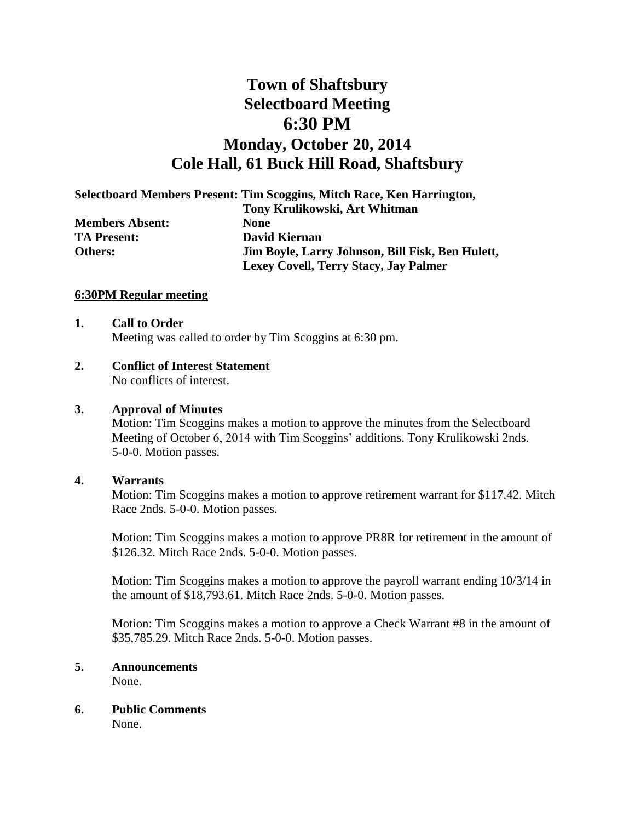# **Town of Shaftsbury Selectboard Meeting 6:30 PM Monday, October 20, 2014 Cole Hall, 61 Buck Hill Road, Shaftsbury**

**Selectboard Members Present: Tim Scoggins, Mitch Race, Ken Harrington,** 

|                        | Tony Krulikowski, Art Whitman                    |
|------------------------|--------------------------------------------------|
| <b>Members Absent:</b> | <b>None</b>                                      |
| <b>TA Present:</b>     | David Kiernan                                    |
| Others:                | Jim Boyle, Larry Johnson, Bill Fisk, Ben Hulett, |
|                        | Lexey Covell, Terry Stacy, Jay Palmer            |

#### **6:30PM Regular meeting**

# **1. Call to Order**

Meeting was called to order by Tim Scoggins at 6:30 pm.

**2. Conflict of Interest Statement** No conflicts of interest.

#### **3. Approval of Minutes**

Motion: Tim Scoggins makes a motion to approve the minutes from the Selectboard Meeting of October 6, 2014 with Tim Scoggins' additions. Tony Krulikowski 2nds. 5-0-0. Motion passes.

#### **4. Warrants**

Motion: Tim Scoggins makes a motion to approve retirement warrant for \$117.42. Mitch Race 2nds. 5-0-0. Motion passes.

Motion: Tim Scoggins makes a motion to approve PR8R for retirement in the amount of \$126.32. Mitch Race 2nds. 5-0-0. Motion passes.

Motion: Tim Scoggins makes a motion to approve the payroll warrant ending 10/3/14 in the amount of \$18,793.61. Mitch Race 2nds. 5-0-0. Motion passes.

Motion: Tim Scoggins makes a motion to approve a Check Warrant #8 in the amount of \$35,785.29. Mitch Race 2nds. 5-0-0. Motion passes.

### **5. Announcements**

None.

**6. Public Comments**

None.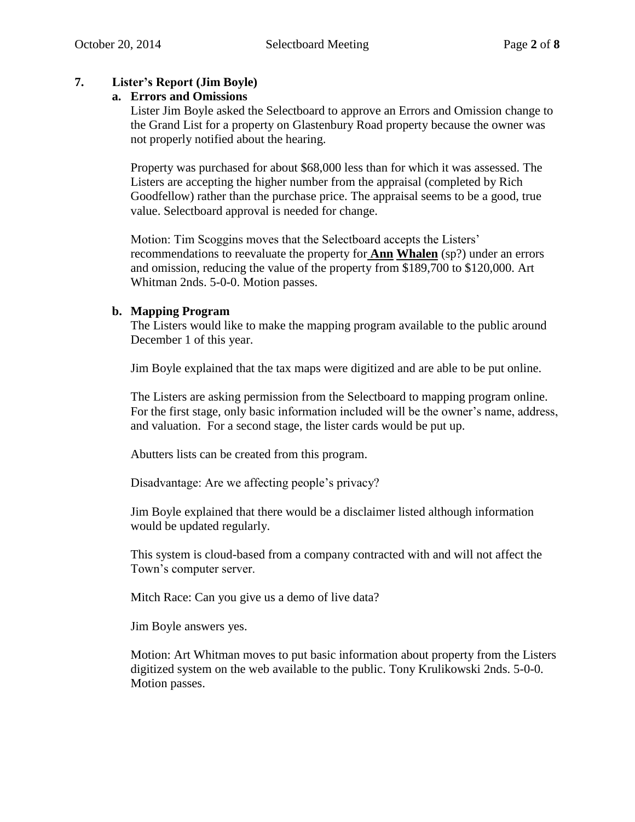# **7. Lister's Report (Jim Boyle)**

## **a. Errors and Omissions**

Lister Jim Boyle asked the Selectboard to approve an Errors and Omission change to the Grand List for a property on Glastenbury Road property because the owner was not properly notified about the hearing.

Property was purchased for about \$68,000 less than for which it was assessed. The Listers are accepting the higher number from the appraisal (completed by Rich Goodfellow) rather than the purchase price. The appraisal seems to be a good, true value. Selectboard approval is needed for change.

Motion: Tim Scoggins moves that the Selectboard accepts the Listers' recommendations to reevaluate the property for **Ann Whalen** (sp?) under an errors and omission, reducing the value of the property from \$189,700 to \$120,000. Art Whitman 2nds. 5-0-0. Motion passes.

## **b. Mapping Program**

The Listers would like to make the mapping program available to the public around December 1 of this year.

Jim Boyle explained that the tax maps were digitized and are able to be put online.

The Listers are asking permission from the Selectboard to mapping program online. For the first stage, only basic information included will be the owner's name, address, and valuation. For a second stage, the lister cards would be put up.

Abutters lists can be created from this program.

Disadvantage: Are we affecting people's privacy?

Jim Boyle explained that there would be a disclaimer listed although information would be updated regularly.

This system is cloud-based from a company contracted with and will not affect the Town's computer server.

Mitch Race: Can you give us a demo of live data?

Jim Boyle answers yes.

Motion: Art Whitman moves to put basic information about property from the Listers digitized system on the web available to the public. Tony Krulikowski 2nds. 5-0-0. Motion passes.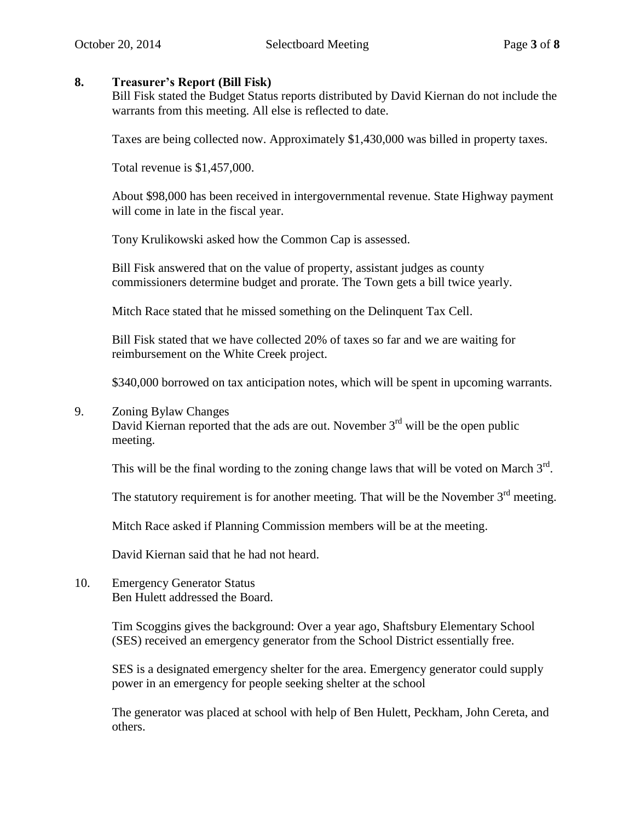### **8. Treasurer's Report (Bill Fisk)**

Bill Fisk stated the Budget Status reports distributed by David Kiernan do not include the warrants from this meeting. All else is reflected to date.

Taxes are being collected now. Approximately \$1,430,000 was billed in property taxes.

Total revenue is \$1,457,000.

About \$98,000 has been received in intergovernmental revenue. State Highway payment will come in late in the fiscal year.

Tony Krulikowski asked how the Common Cap is assessed.

Bill Fisk answered that on the value of property, assistant judges as county commissioners determine budget and prorate. The Town gets a bill twice yearly.

Mitch Race stated that he missed something on the Delinquent Tax Cell.

Bill Fisk stated that we have collected 20% of taxes so far and we are waiting for reimbursement on the White Creek project.

\$340,000 borrowed on tax anticipation notes, which will be spent in upcoming warrants.

#### 9. Zoning Bylaw Changes

David Kiernan reported that the ads are out. November  $3<sup>rd</sup>$  will be the open public meeting.

This will be the final wording to the zoning change laws that will be voted on March  $3<sup>rd</sup>$ .

The statutory requirement is for another meeting. That will be the November  $3<sup>rd</sup>$  meeting.

Mitch Race asked if Planning Commission members will be at the meeting.

David Kiernan said that he had not heard.

10. Emergency Generator Status Ben Hulett addressed the Board.

> Tim Scoggins gives the background: Over a year ago, Shaftsbury Elementary School (SES) received an emergency generator from the School District essentially free.

SES is a designated emergency shelter for the area. Emergency generator could supply power in an emergency for people seeking shelter at the school

The generator was placed at school with help of Ben Hulett, Peckham, John Cereta, and others.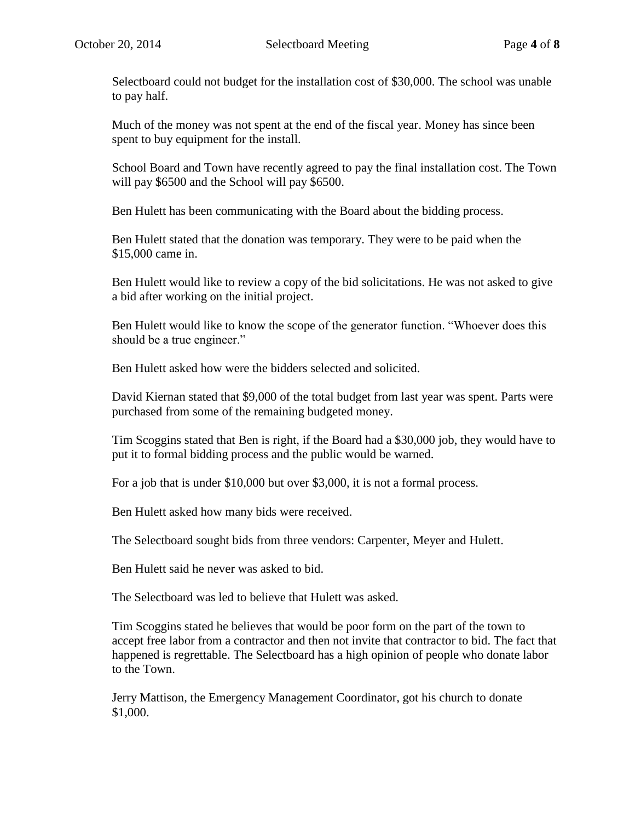Selectboard could not budget for the installation cost of \$30,000. The school was unable to pay half.

Much of the money was not spent at the end of the fiscal year. Money has since been spent to buy equipment for the install.

School Board and Town have recently agreed to pay the final installation cost. The Town will pay \$6500 and the School will pay \$6500.

Ben Hulett has been communicating with the Board about the bidding process.

Ben Hulett stated that the donation was temporary. They were to be paid when the \$15,000 came in.

Ben Hulett would like to review a copy of the bid solicitations. He was not asked to give a bid after working on the initial project.

Ben Hulett would like to know the scope of the generator function. "Whoever does this should be a true engineer."

Ben Hulett asked how were the bidders selected and solicited.

David Kiernan stated that \$9,000 of the total budget from last year was spent. Parts were purchased from some of the remaining budgeted money.

Tim Scoggins stated that Ben is right, if the Board had a \$30,000 job, they would have to put it to formal bidding process and the public would be warned.

For a job that is under \$10,000 but over \$3,000, it is not a formal process.

Ben Hulett asked how many bids were received.

The Selectboard sought bids from three vendors: Carpenter, Meyer and Hulett.

Ben Hulett said he never was asked to bid.

The Selectboard was led to believe that Hulett was asked.

Tim Scoggins stated he believes that would be poor form on the part of the town to accept free labor from a contractor and then not invite that contractor to bid. The fact that happened is regrettable. The Selectboard has a high opinion of people who donate labor to the Town.

Jerry Mattison, the Emergency Management Coordinator, got his church to donate \$1,000.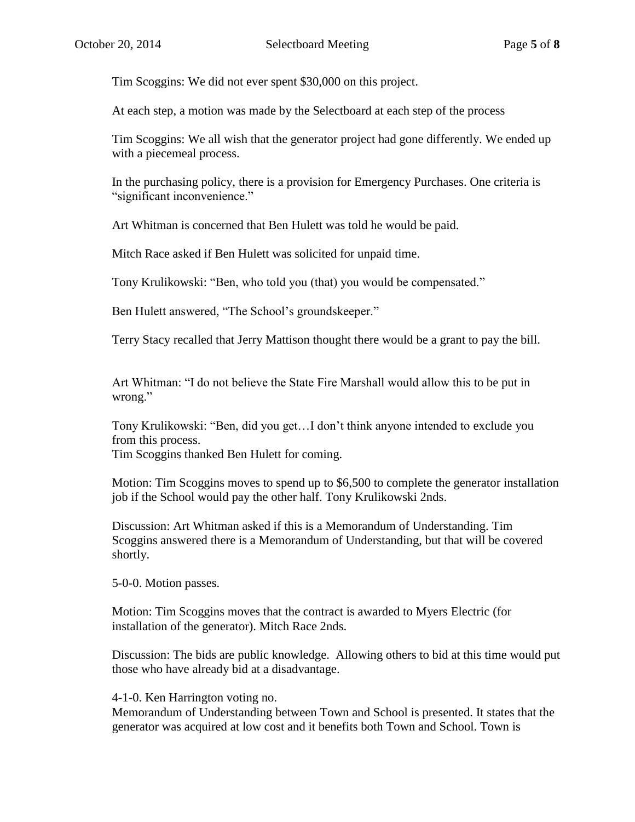Tim Scoggins: We did not ever spent \$30,000 on this project.

At each step, a motion was made by the Selectboard at each step of the process

Tim Scoggins: We all wish that the generator project had gone differently. We ended up with a piecemeal process.

In the purchasing policy, there is a provision for Emergency Purchases. One criteria is "significant inconvenience."

Art Whitman is concerned that Ben Hulett was told he would be paid.

Mitch Race asked if Ben Hulett was solicited for unpaid time.

Tony Krulikowski: "Ben, who told you (that) you would be compensated."

Ben Hulett answered, "The School's groundskeeper."

Terry Stacy recalled that Jerry Mattison thought there would be a grant to pay the bill.

Art Whitman: "I do not believe the State Fire Marshall would allow this to be put in wrong."

Tony Krulikowski: "Ben, did you get…I don't think anyone intended to exclude you from this process.

Tim Scoggins thanked Ben Hulett for coming.

Motion: Tim Scoggins moves to spend up to \$6,500 to complete the generator installation job if the School would pay the other half. Tony Krulikowski 2nds.

Discussion: Art Whitman asked if this is a Memorandum of Understanding. Tim Scoggins answered there is a Memorandum of Understanding, but that will be covered shortly.

5-0-0. Motion passes.

Motion: Tim Scoggins moves that the contract is awarded to Myers Electric (for installation of the generator). Mitch Race 2nds.

Discussion: The bids are public knowledge. Allowing others to bid at this time would put those who have already bid at a disadvantage.

4-1-0. Ken Harrington voting no.

Memorandum of Understanding between Town and School is presented. It states that the generator was acquired at low cost and it benefits both Town and School. Town is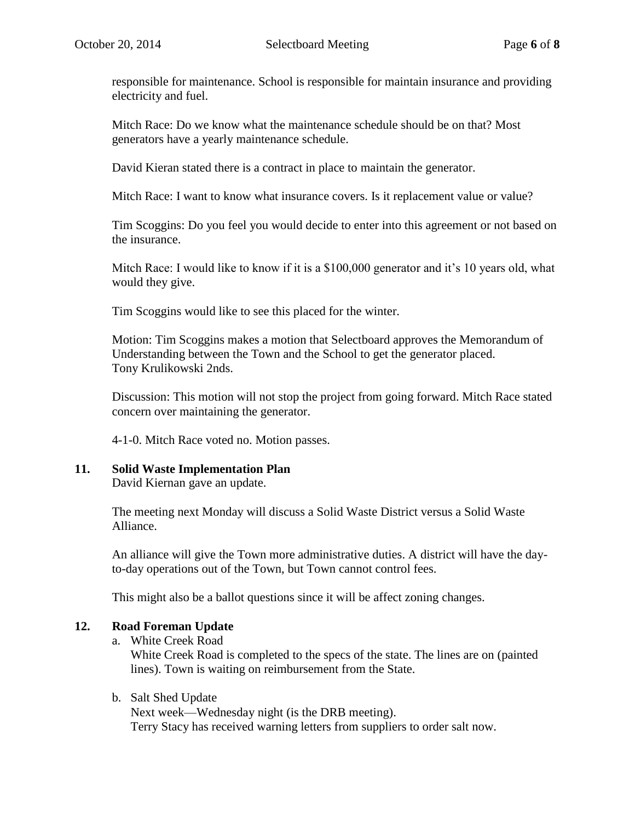responsible for maintenance. School is responsible for maintain insurance and providing electricity and fuel.

Mitch Race: Do we know what the maintenance schedule should be on that? Most generators have a yearly maintenance schedule.

David Kieran stated there is a contract in place to maintain the generator.

Mitch Race: I want to know what insurance covers. Is it replacement value or value?

Tim Scoggins: Do you feel you would decide to enter into this agreement or not based on the insurance.

Mitch Race: I would like to know if it is a \$100,000 generator and it's 10 years old, what would they give.

Tim Scoggins would like to see this placed for the winter.

Motion: Tim Scoggins makes a motion that Selectboard approves the Memorandum of Understanding between the Town and the School to get the generator placed. Tony Krulikowski 2nds.

Discussion: This motion will not stop the project from going forward. Mitch Race stated concern over maintaining the generator.

4-1-0. Mitch Race voted no. Motion passes.

# **11. Solid Waste Implementation Plan**

David Kiernan gave an update.

The meeting next Monday will discuss a Solid Waste District versus a Solid Waste Alliance.

An alliance will give the Town more administrative duties. A district will have the dayto-day operations out of the Town, but Town cannot control fees.

This might also be a ballot questions since it will be affect zoning changes.

# **12. Road Foreman Update**

a. White Creek Road

White Creek Road is completed to the specs of the state. The lines are on (painted lines). Town is waiting on reimbursement from the State.

#### b. Salt Shed Update

Next week—Wednesday night (is the DRB meeting). Terry Stacy has received warning letters from suppliers to order salt now.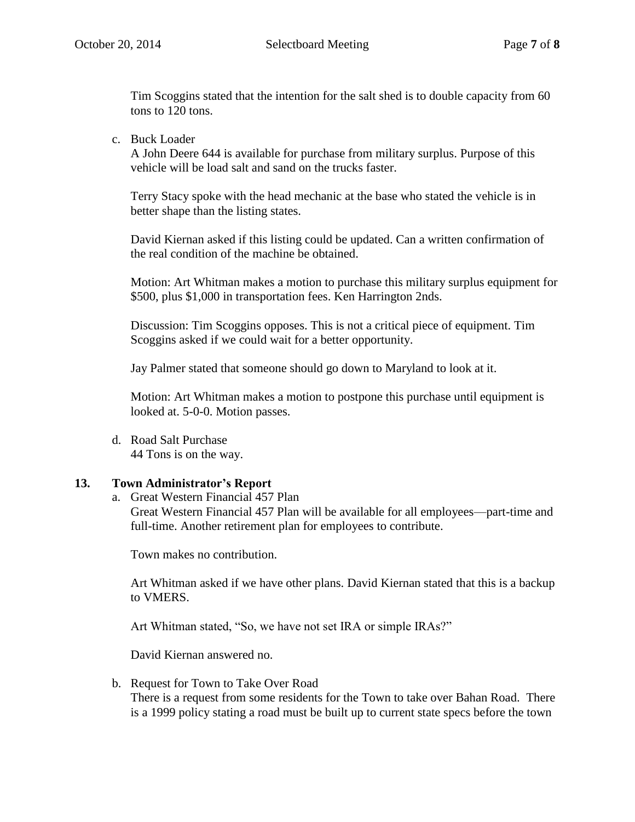Tim Scoggins stated that the intention for the salt shed is to double capacity from 60 tons to 120 tons.

c. Buck Loader

A John Deere 644 is available for purchase from military surplus. Purpose of this vehicle will be load salt and sand on the trucks faster.

Terry Stacy spoke with the head mechanic at the base who stated the vehicle is in better shape than the listing states.

David Kiernan asked if this listing could be updated. Can a written confirmation of the real condition of the machine be obtained.

Motion: Art Whitman makes a motion to purchase this military surplus equipment for \$500, plus \$1,000 in transportation fees. Ken Harrington 2nds.

Discussion: Tim Scoggins opposes. This is not a critical piece of equipment. Tim Scoggins asked if we could wait for a better opportunity.

Jay Palmer stated that someone should go down to Maryland to look at it.

Motion: Art Whitman makes a motion to postpone this purchase until equipment is looked at. 5-0-0. Motion passes.

d. Road Salt Purchase 44 Tons is on the way.

# **13. Town Administrator's Report**

a. Great Western Financial 457 Plan

Great Western Financial 457 Plan will be available for all employees—part-time and full-time. Another retirement plan for employees to contribute.

Town makes no contribution.

Art Whitman asked if we have other plans. David Kiernan stated that this is a backup to VMERS.

Art Whitman stated, "So, we have not set IRA or simple IRAs?"

David Kiernan answered no.

b. Request for Town to Take Over Road There is a request from some residents for the Town to take over Bahan Road. There is a 1999 policy stating a road must be built up to current state specs before the town